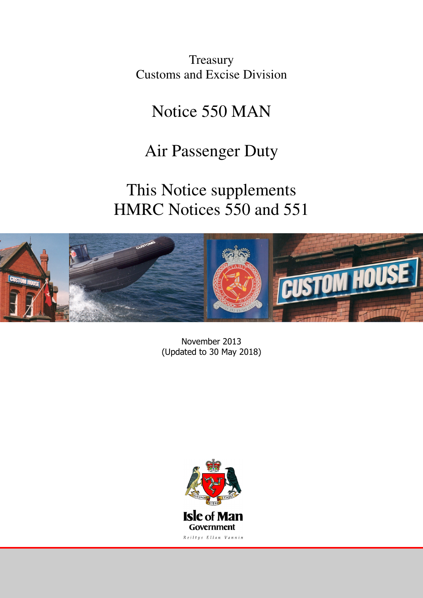**Treasury** Customs and Excise Division

# Notice 550 MAN

# Air Passenger Duty

# This Notice supplements HMRC Notices 550 and 551



November 2013 (Updated to 30 May 2018)

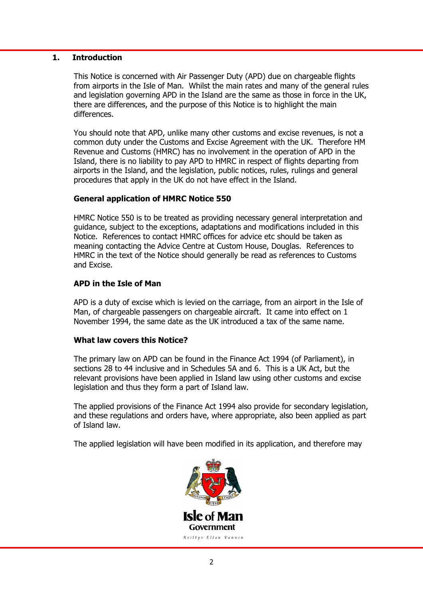## 1. Introduction

 This Notice is concerned with Air Passenger Duty (APD) due on chargeable flights from airports in the Isle of Man. Whilst the main rates and many of the general rules and legislation governing APD in the Island are the same as those in force in the UK, there are differences, and the purpose of this Notice is to highlight the main differences.

 You should note that APD, unlike many other customs and excise revenues, is not a common duty under the Customs and Excise Agreement with the UK. Therefore HM Revenue and Customs (HMRC) has no involvement in the operation of APD in the Island, there is no liability to pay APD to HMRC in respect of flights departing from airports in the Island, and the legislation, public notices, rules, rulings and general procedures that apply in the UK do not have effect in the Island.

# General application of HMRC Notice 550

 HMRC Notice 550 is to be treated as providing necessary general interpretation and guidance, subject to the exceptions, adaptations and modifications included in this Notice. References to contact HMRC offices for advice etc should be taken as meaning contacting the Advice Centre at Custom House, Douglas. References to HMRC in the text of the Notice should generally be read as references to Customs and Excise.

### APD in the Isle of Man

 APD is a duty of excise which is levied on the carriage, from an airport in the Isle of Man, of chargeable passengers on chargeable aircraft. It came into effect on 1 November 1994, the same date as the UK introduced a tax of the same name.

#### What law covers this Notice?

 The primary law on APD can be found in the Finance Act 1994 (of Parliament), in sections 28 to 44 inclusive and in Schedules 5A and 6. This is a UK Act, but the relevant provisions have been applied in Island law using other customs and excise legislation and thus they form a part of Island law.

 The applied provisions of the Finance Act 1994 also provide for secondary legislation, and these regulations and orders have, where appropriate, also been applied as part of Island law.

The applied legislation will have been modified in its application, and therefore may

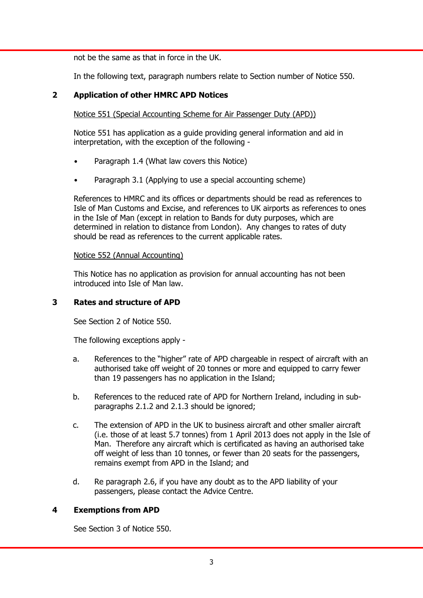not be the same as that in force in the UK.

In the following text, paragraph numbers relate to Section number of Notice 550.

# 2 Application of other HMRC APD Notices

Notice 551 (Special Accounting Scheme for Air Passenger Duty (APD))

 Notice 551 has application as a guide providing general information and aid in interpretation, with the exception of the following -

- Paragraph 1.4 (What law covers this Notice)
- Paragraph 3.1 (Applying to use a special accounting scheme)

 References to HMRC and its offices or departments should be read as references to Isle of Man Customs and Excise, and references to UK airports as references to ones in the Isle of Man (except in relation to Bands for duty purposes, which are determined in relation to distance from London). Any changes to rates of duty should be read as references to the current applicable rates.

#### Notice 552 (Annual Accounting)

 This Notice has no application as provision for annual accounting has not been introduced into Isle of Man law.

## 3 Rates and structure of APD

See Section 2 of Notice 550.

The following exceptions apply -

- a. References to the "higher" rate of APD chargeable in respect of aircraft with an authorised take off weight of 20 tonnes or more and equipped to carry fewer than 19 passengers has no application in the Island;
- b. References to the reduced rate of APD for Northern Ireland, including in subparagraphs 2.1.2 and 2.1.3 should be ignored;
- c. The extension of APD in the UK to business aircraft and other smaller aircraft (i.e. those of at least 5.7 tonnes) from 1 April 2013 does not apply in the Isle of Man. Therefore any aircraft which is certificated as having an authorised take off weight of less than 10 tonnes, or fewer than 20 seats for the passengers, remains exempt from APD in the Island; and
- d. Re paragraph 2.6, if you have any doubt as to the APD liability of your passengers, please contact the Advice Centre.

# 4 Exemptions from APD

See Section 3 of Notice 550.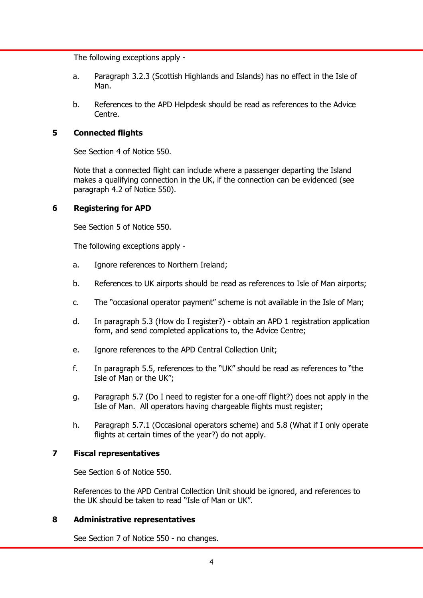The following exceptions apply -

- a. Paragraph 3.2.3 (Scottish Highlands and Islands) has no effect in the Isle of Man.
- b. References to the APD Helpdesk should be read as references to the Advice Centre.

# 5 Connected flights

See Section 4 of Notice 550.

 Note that a connected flight can include where a passenger departing the Island makes a qualifying connection in the UK, if the connection can be evidenced (see paragraph 4.2 of Notice 550).

# 6 Registering for APD

See Section 5 of Notice 550.

The following exceptions apply -

- a. Ignore references to Northern Ireland;
- b. References to UK airports should be read as references to Isle of Man airports;
- c. The "occasional operator payment" scheme is not available in the Isle of Man;
- d. In paragraph 5.3 (How do I register?) obtain an APD 1 registration application form, and send completed applications to, the Advice Centre;
- e. Ignore references to the APD Central Collection Unit;
- f. In paragraph 5.5, references to the "UK" should be read as references to "the Isle of Man or the UK";
- g. Paragraph 5.7 (Do I need to register for a one-off flight?) does not apply in the Isle of Man. All operators having chargeable flights must register;
- h. Paragraph 5.7.1 (Occasional operators scheme) and 5.8 (What if I only operate flights at certain times of the year?) do not apply.

# 7 Fiscal representatives

See Section 6 of Notice 550.

 References to the APD Central Collection Unit should be ignored, and references to the UK should be taken to read "Isle of Man or UK".

# 8 Administrative representatives

See Section 7 of Notice 550 - no changes.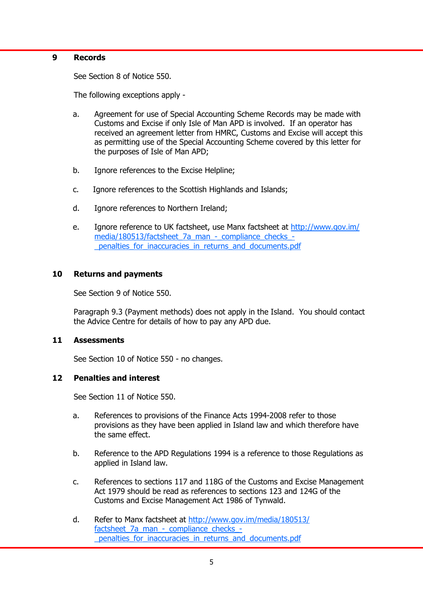#### 9 Records

See Section 8 of Notice 550.

The following exceptions apply -

- a. Agreement for use of Special Accounting Scheme Records may be made with Customs and Excise if only Isle of Man APD is involved. If an operator has received an agreement letter from HMRC, Customs and Excise will accept this as permitting use of the Special Accounting Scheme covered by this letter for the purposes of Isle of Man APD;
- b. Ignore references to the Excise Helpline;
- c. Ignore references to the Scottish Highlands and Islands;
- d. Ignore references to Northern Ireland;
- e. Ignore reference to UK factsheet, use Manx factsheet at http://www.gov.im/ media/180513/factsheet 7a man - compliance checks -\_penalties\_for\_inaccuracies\_in\_returns\_and\_documents.pdf

#### 10 Returns and payments

See Section 9 of Notice 550.

 Paragraph 9.3 (Payment methods) does not apply in the Island. You should contact the Advice Centre for details of how to pay any APD due.

#### 11 Assessments

See Section 10 of Notice 550 - no changes.

#### 12 Penalties and interest

See Section 11 of Notice 550.

- a. References to provisions of the Finance Acts 1994-2008 refer to those provisions as they have been applied in Island law and which therefore have the same effect.
- b. Reference to the APD Regulations 1994 is a reference to those Regulations as applied in Island law.
- c. References to sections 117 and 118G of the Customs and Excise Management Act 1979 should be read as references to sections 123 and 124G of the Customs and Excise Management Act 1986 of Tynwald.
- d. Refer to Manx factsheet at http://www.gov.im/media/180513/ factsheet 7a man - compliance checks penalties for inaccuracies in returns and documents.pdf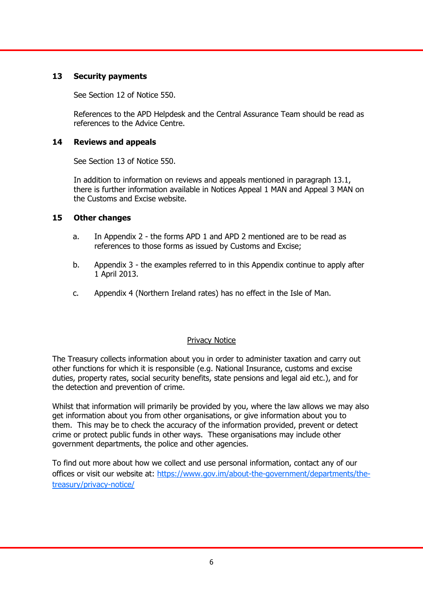# 13 Security payments

See Section 12 of Notice 550.

 References to the APD Helpdesk and the Central Assurance Team should be read as references to the Advice Centre.

### 14 Reviews and appeals

See Section 13 of Notice 550.

 In addition to information on reviews and appeals mentioned in paragraph 13.1, there is further information available in Notices Appeal 1 MAN and Appeal 3 MAN on the Customs and Excise website.

### 15 Other changes

- a. In Appendix 2 the forms APD 1 and APD 2 mentioned are to be read as references to those forms as issued by Customs and Excise;
- b. Appendix 3 the examples referred to in this Appendix continue to apply after 1 April 2013.
- c. Appendix 4 (Northern Ireland rates) has no effect in the Isle of Man.

#### Privacy Notice

The Treasury collects information about you in order to administer taxation and carry out other functions for which it is responsible (e.g. National Insurance, customs and excise duties, property rates, social security benefits, state pensions and legal aid etc.), and for the detection and prevention of crime.

Whilst that information will primarily be provided by you, where the law allows we may also get information about you from other organisations, or give information about you to them. This may be to check the accuracy of the information provided, prevent or detect crime or protect public funds in other ways. These organisations may include other government departments, the police and other agencies.

To find out more about how we collect and use personal information, contact any of our offices or visit our website at: https://www.gov.im/about-the-government/departments/thetreasury/privacy-notice/